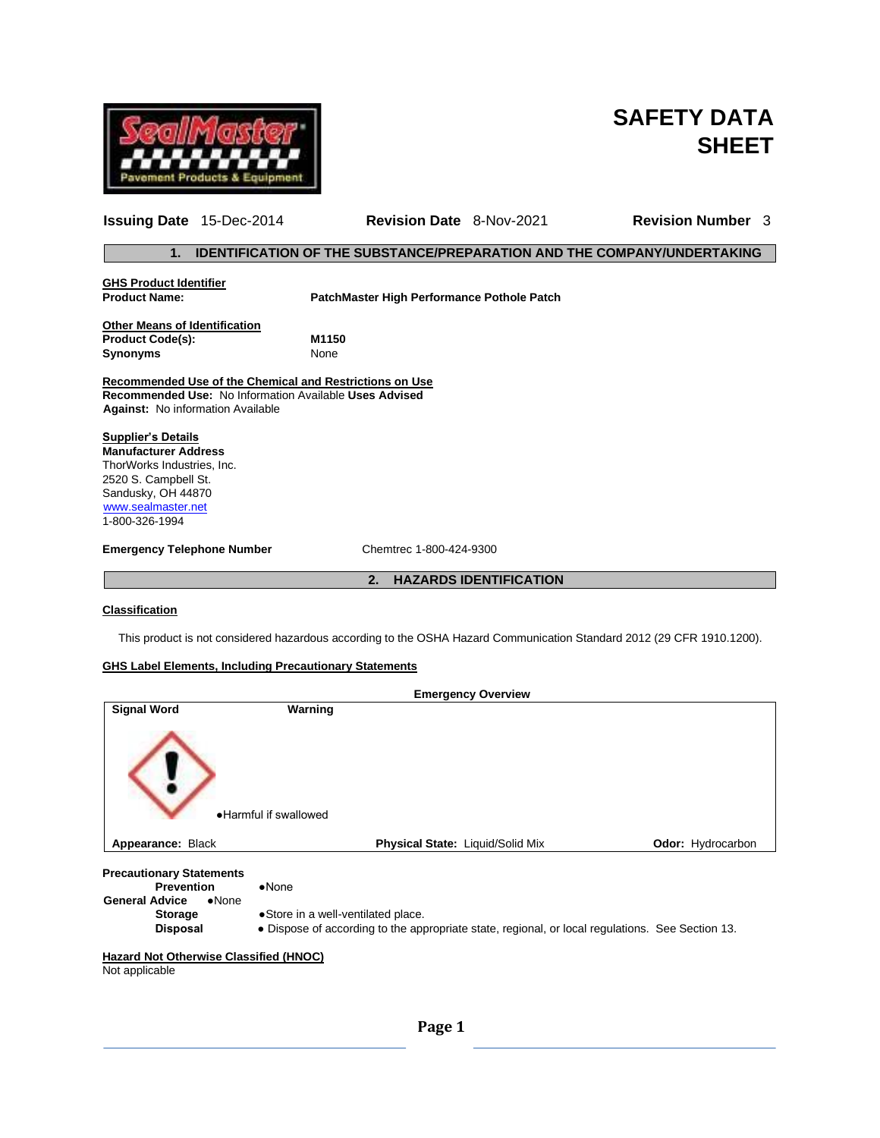

# **SAFETY DATA SHEET**

|                                                                                                                                                                              | <b>Issuing Date</b> 15-Dec-2014 | <b>Revision Date</b> 8-Nov-2021            |                               | <b>Revision Number</b> 3                                                       |
|------------------------------------------------------------------------------------------------------------------------------------------------------------------------------|---------------------------------|--------------------------------------------|-------------------------------|--------------------------------------------------------------------------------|
| 1.                                                                                                                                                                           |                                 |                                            |                               | <b>IDENTIFICATION OF THE SUBSTANCE/PREPARATION AND THE COMPANY/UNDERTAKING</b> |
| <b>GHS Product Identifier</b><br><b>Product Name:</b>                                                                                                                        |                                 | PatchMaster High Performance Pothole Patch |                               |                                                                                |
| <b>Other Means of Identification</b><br><b>Product Code(s):</b><br><b>Synonyms</b>                                                                                           |                                 | M1150<br>None                              |                               |                                                                                |
| Recommended Use of the Chemical and Restrictions on Use<br>Recommended Use: No Information Available Uses Advised<br><b>Against:</b> No information Available                |                                 |                                            |                               |                                                                                |
| <b>Supplier's Details</b><br><b>Manufacturer Address</b><br>ThorWorks Industries, Inc.<br>2520 S. Campbell St.<br>Sandusky, OH 44870<br>www.sealmaster.net<br>1-800-326-1994 |                                 |                                            |                               |                                                                                |
| <b>Emergency Telephone Number</b>                                                                                                                                            |                                 | Chemtrec 1-800-424-9300                    |                               |                                                                                |
|                                                                                                                                                                              |                                 | 2.                                         | <b>HAZARDS IDENTIFICATION</b> |                                                                                |

# **Classification**

This product is not considered hazardous according to the OSHA Hazard Communication Standard 2012 (29 CFR 1910.1200).

# **GHS Label Elements, Including Precautionary Statements**

|                                                                                                 | <b>Emergency Overview</b>                                                                                                              |                          |
|-------------------------------------------------------------------------------------------------|----------------------------------------------------------------------------------------------------------------------------------------|--------------------------|
| <b>Signal Word</b>                                                                              | Warning                                                                                                                                |                          |
|                                                                                                 | . Harmful if swallowed                                                                                                                 |                          |
| Appearance: Black                                                                               | <b>Physical State: Liquid/Solid Mix</b>                                                                                                | <b>Odor:</b> Hydrocarbon |
| <b>Precautionary Statements</b><br><b>Prevention</b><br><b>General Advice</b><br>$\bullet$ None | $\bullet$ None                                                                                                                         |                          |
| <b>Storage</b><br><b>Disposal</b>                                                               | •Store in a well-ventilated place.<br>• Dispose of according to the appropriate state, regional, or local regulations. See Section 13. |                          |
| <b>Hazard Not Otherwise Classified (HNOC)</b><br>Not applicable                                 |                                                                                                                                        |                          |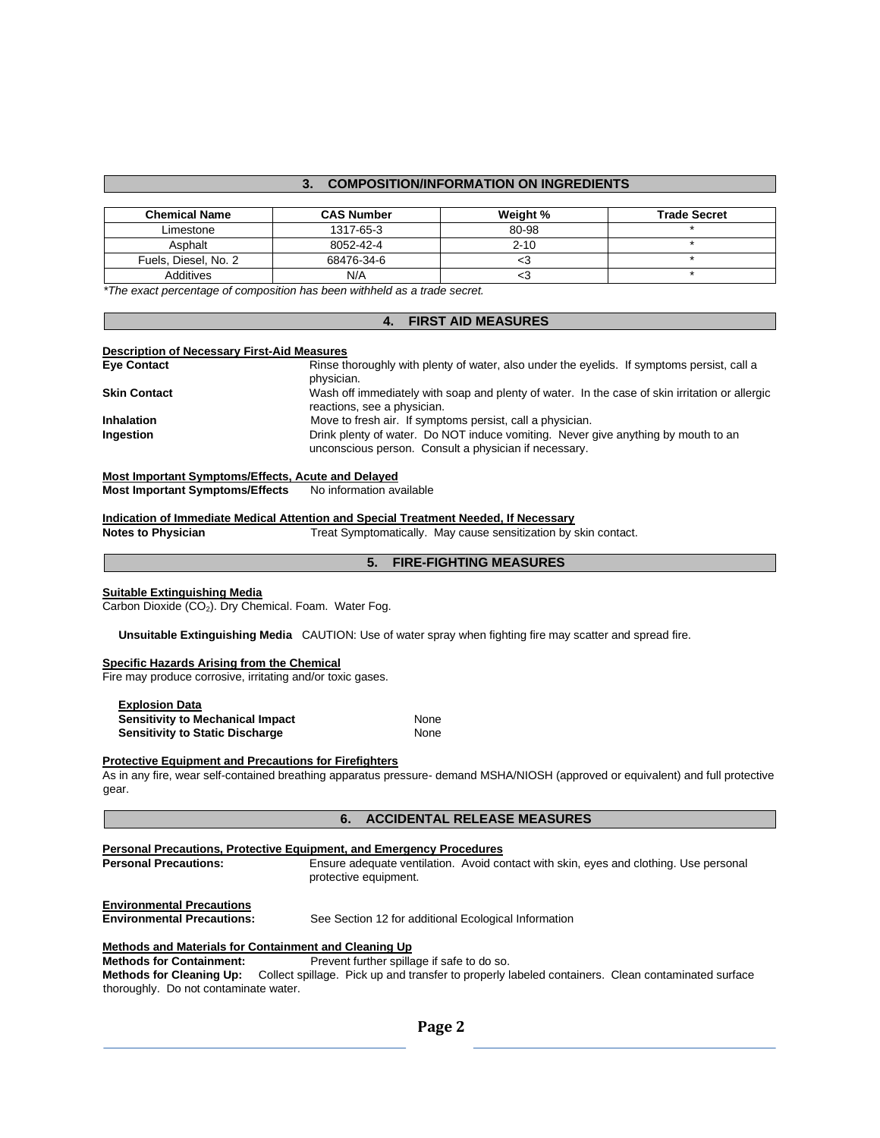# **3. COMPOSITION/INFORMATION ON INGREDIENTS**

| <b>Chemical Name</b> | <b>CAS Number</b> | Weight % | <b>Trade Secret</b> |
|----------------------|-------------------|----------|---------------------|
| Limestone            | 1317-65-3         | 80-98    |                     |
| Asphalt              | 8052-42-4         | $2 - 10$ |                     |
| Fuels, Diesel, No. 2 | 68476-34-6        | ╰        |                     |
| Additives            | N/A               | ט>       |                     |

*\*The exact percentage of composition has been withheld as a trade secret.* 

#### **4. FIRST AID MEASURES**

#### **Description of Necessary First-Aid Measures**

| <b>Eye Contact</b>  | Rinse thoroughly with plenty of water, also under the eyelids. If symptoms persist, call a     |
|---------------------|------------------------------------------------------------------------------------------------|
|                     | physician.                                                                                     |
| <b>Skin Contact</b> | Wash off immediately with soap and plenty of water. In the case of skin irritation or allergic |
|                     | reactions, see a physician.                                                                    |
| <b>Inhalation</b>   | Move to fresh air. If symptoms persist, call a physician.                                      |
| Ingestion           | Drink plenty of water. Do NOT induce vomiting. Never give anything by mouth to an              |
|                     | unconscious person. Consult a physician if necessary.                                          |

# **Most Important Symptoms/Effects, Acute and Delayed**

#### **Most Important Symptoms/Effects** No information available

# **Indication of Immediate Medical Attention and Special Treatment Needed, If Necessary**

**Notes to Physician** Treat Symptomatically. May cause sensitization by skin contact.

# **5. FIRE-FIGHTING MEASURES**

# **Suitable Extinguishing Media**

Carbon Dioxide (CO<sub>2</sub>). Dry Chemical. Foam. Water Fog.

 **Unsuitable Extinguishing Media** CAUTION: Use of water spray when fighting fire may scatter and spread fire.

#### **Specific Hazards Arising from the Chemical**

Fire may produce corrosive, irritating and/or toxic gases.

| <b>Explosion Data</b>                   |      |
|-----------------------------------------|------|
| <b>Sensitivity to Mechanical Impact</b> | None |
| <b>Sensitivity to Static Discharge</b>  | None |

#### **Protective Equipment and Precautions for Firefighters**

As in any fire, wear self-contained breathing apparatus pressure- demand MSHA/NIOSH (approved or equivalent) and full protective gear.

#### **6. ACCIDENTAL RELEASE MEASURES**

| <b>Personal Precautions, Protective Equipment, and Emergency Procedures</b> |                                                                                                                |  |
|-----------------------------------------------------------------------------|----------------------------------------------------------------------------------------------------------------|--|
| <b>Personal Precautions:</b>                                                | Ensure adequate ventilation. Avoid contact with skin, eyes and clothing. Use personal<br>protective equipment. |  |
| <b>Environmental Precautions</b><br><b>Environmental Precautions:</b>       | See Section 12 for additional Ecological Information                                                           |  |
| Methods and Materials for Containment and Cleaning Up                       |                                                                                                                |  |
| <b>Methods for Containment:</b>                                             | Prevent further spillage if safe to do so.                                                                     |  |

**Methods for Cleaning Up:** Collect spillage. Pick up and transfer to properly labeled containers. Clean contaminated surface thoroughly. Do not contaminate water.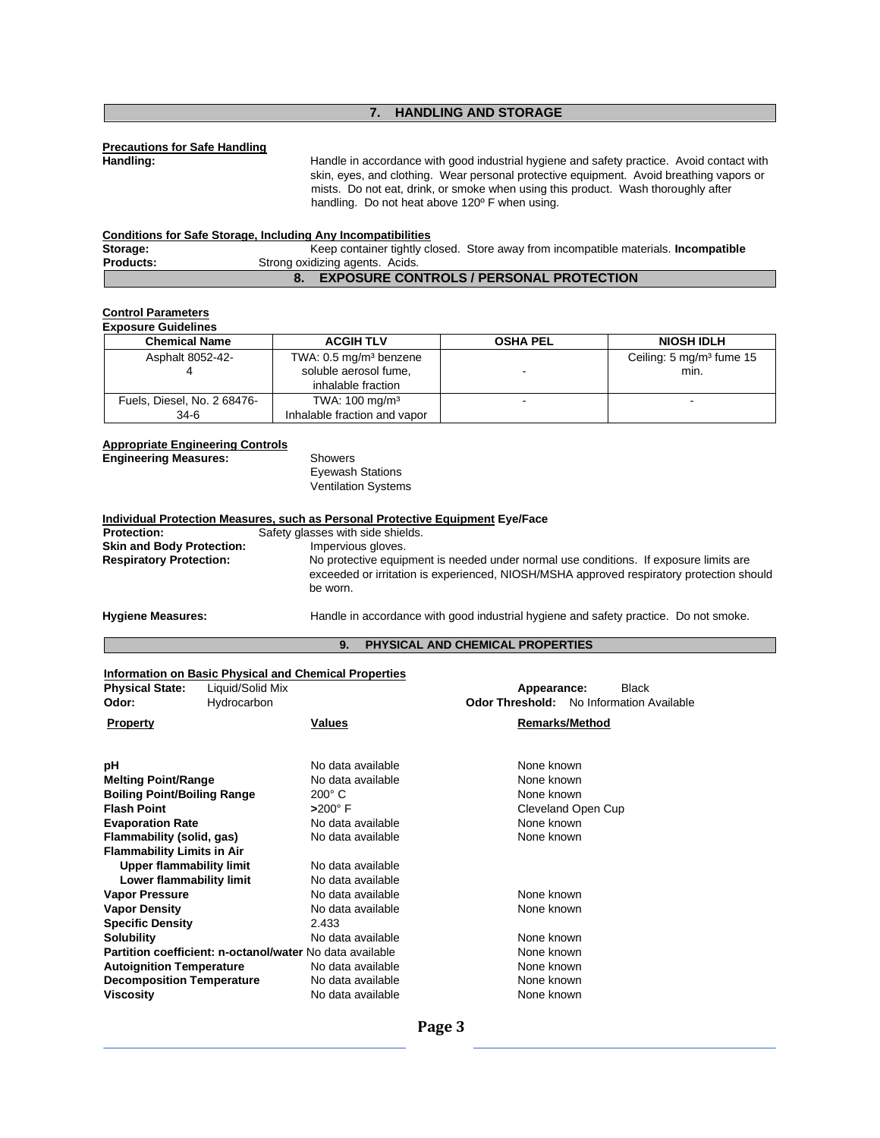# **7. HANDLING AND STORAGE**

# **Precautions for Safe Handling**

Handle in accordance with good industrial hygiene and safety practice. Avoid contact with skin, eyes, and clothing. Wear personal protective equipment. Avoid breathing vapors or mists. Do not eat, drink, or smoke when using this product. Wash thoroughly after handling. Do not heat above 120º F when using.

|                  | <b>Conditions for Safe Storage, Including Any Incompatibilities</b> |                                                                                            |
|------------------|---------------------------------------------------------------------|--------------------------------------------------------------------------------------------|
| Storage:         |                                                                     | Keep container tightly closed. Store away from incompatible materials. <b>Incompatible</b> |
| <b>Products:</b> | Strong oxidizing agents. Acids.                                     |                                                                                            |
|                  |                                                                     | <b>EXPOSURE CONTROLS / PERSONAL PROTECTION</b>                                             |

# **Control Parameters**

| <b>Exposure Guidelines</b>  |                                    |                 |                                      |  |
|-----------------------------|------------------------------------|-----------------|--------------------------------------|--|
| <b>Chemical Name</b>        | <b>ACGIH TLV</b>                   | <b>OSHA PEL</b> | <b>NIOSH IDLH</b>                    |  |
| Asphalt 8052-42-            | TWA: 0.5 mg/m <sup>3</sup> benzene |                 | Ceiling: 5 mg/m <sup>3</sup> fume 15 |  |
|                             | soluble aerosol fume,              |                 | min.                                 |  |
|                             | inhalable fraction                 |                 |                                      |  |
| Fuels, Diesel, No. 2 68476- | TWA: $100 \text{ mg/m}^3$          |                 |                                      |  |
| 34-6                        | Inhalable fraction and vapor       |                 |                                      |  |

#### **Appropriate Engineering Controls**

**Engineering Measures:** Showers Eyewash Stations Ventilation Systems

| Individual Protection Measures, such as Personal Protective Equipment Eye/Face |                                                                                                                                                                                               |  |
|--------------------------------------------------------------------------------|-----------------------------------------------------------------------------------------------------------------------------------------------------------------------------------------------|--|
| <b>Protection:</b>                                                             | Safety glasses with side shields.                                                                                                                                                             |  |
| <b>Skin and Body Protection:</b>                                               | Impervious gloves.                                                                                                                                                                            |  |
| <b>Respiratory Protection:</b>                                                 | No protective equipment is needed under normal use conditions. If exposure limits are<br>exceeded or irritation is experienced, NIOSH/MSHA approved respiratory protection should<br>be worn. |  |
| <b>Hygiene Measures:</b>                                                       | Handle in accordance with good industrial hygiene and safety practice. Do not smoke.                                                                                                          |  |

### **9. PHYSICAL AND CHEMICAL PROPERTIES**

#### **Information on Basic Physical and Chemical Properties**

| <b>Physical State:</b><br>Odor:    | Liquid/Solid Mix<br>Hydrocarbon                          |                   | Appearance: | Black<br><b>Odor Threshold:</b> No Information Available |
|------------------------------------|----------------------------------------------------------|-------------------|-------------|----------------------------------------------------------|
| <b>Property</b>                    |                                                          | <b>Values</b>     |             | <b>Remarks/Method</b>                                    |
| рH                                 |                                                          | No data available | None known  |                                                          |
| <b>Melting Point/Range</b>         |                                                          | No data available | None known  |                                                          |
| <b>Boiling Point/Boiling Range</b> |                                                          | $200^\circ$ C     | None known  |                                                          |
| <b>Flash Point</b>                 |                                                          | $>200^\circ$ F    |             | Cleveland Open Cup                                       |
| <b>Evaporation Rate</b>            |                                                          | No data available | None known  |                                                          |
| Flammability (solid, gas)          |                                                          | No data available | None known  |                                                          |
| <b>Flammability Limits in Air</b>  |                                                          |                   |             |                                                          |
| <b>Upper flammability limit</b>    |                                                          | No data available |             |                                                          |
| Lower flammability limit           |                                                          | No data available |             |                                                          |
| <b>Vapor Pressure</b>              |                                                          | No data available | None known  |                                                          |
| <b>Vapor Density</b>               |                                                          | No data available | None known  |                                                          |
| <b>Specific Density</b>            |                                                          | 2.433             |             |                                                          |
| <b>Solubility</b>                  |                                                          | No data available | None known  |                                                          |
|                                    | Partition coefficient: n-octanol/water No data available |                   | None known  |                                                          |
| <b>Autoignition Temperature</b>    |                                                          | No data available | None known  |                                                          |
| <b>Decomposition Temperature</b>   |                                                          | No data available | None known  |                                                          |
| <b>Viscosity</b>                   |                                                          | No data available | None known  |                                                          |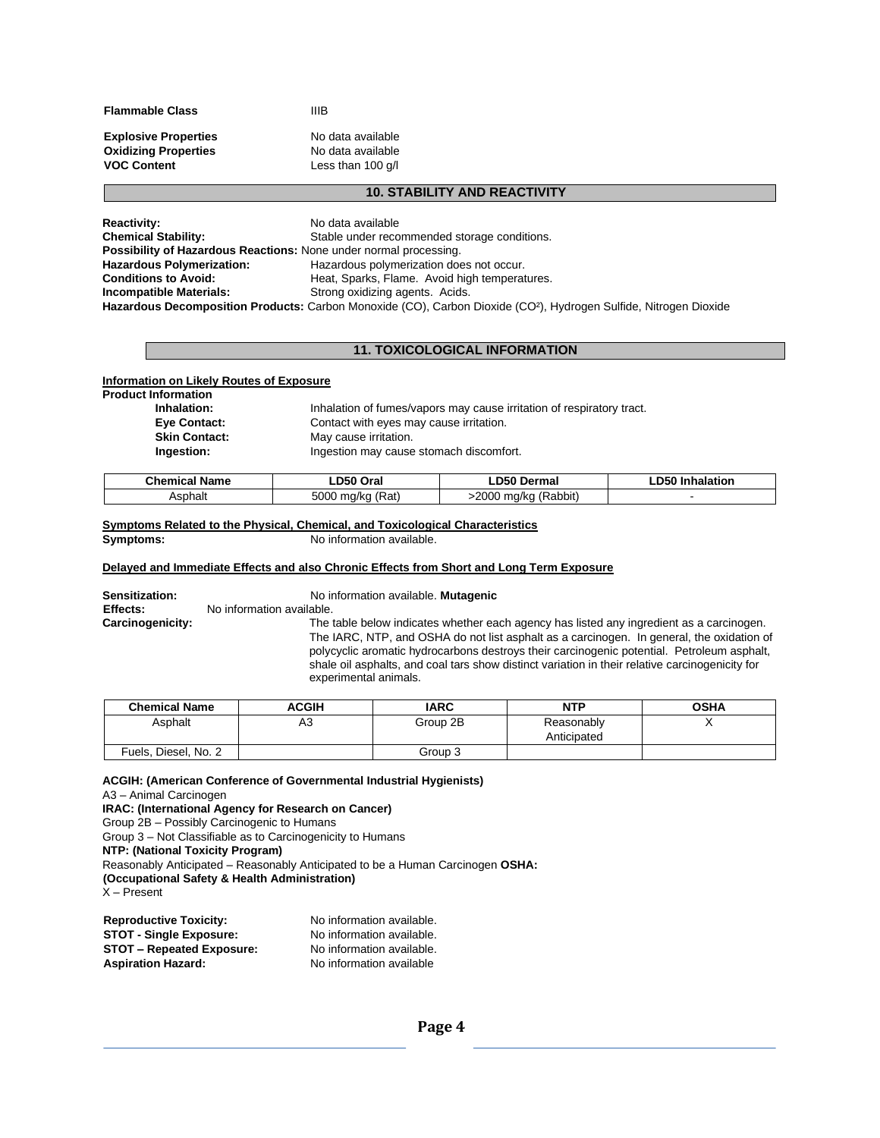**Flammable Class** IIIB

Less than 100 g/l

**Explosive Properties No data available Oxidizing Properties No data available**<br>**VOC Content No DES** Less than 100 g/l

#### **10. STABILITY AND REACTIVITY**

| <b>Reactivity:</b>                                                       | No data available                                                                                                             |
|--------------------------------------------------------------------------|-------------------------------------------------------------------------------------------------------------------------------|
| <b>Chemical Stability:</b>                                               | Stable under recommended storage conditions.                                                                                  |
| <b>Possibility of Hazardous Reactions: None under normal processing.</b> |                                                                                                                               |
| <b>Hazardous Polymerization:</b>                                         | Hazardous polymerization does not occur.                                                                                      |
| <b>Conditions to Avoid:</b>                                              | Heat, Sparks, Flame. Avoid high temperatures.                                                                                 |
| <b>Incompatible Materials:</b>                                           | Strong oxidizing agents. Acids.                                                                                               |
|                                                                          | Hazardous Decomposition Products: Carbon Monoxide (CO), Carbon Dioxide (CO <sup>2</sup> ), Hydrogen Sulfide, Nitrogen Dioxide |

# **11. TOXICOLOGICAL INFORMATION**

### **Information on Likely Routes of Exposure**

| <b>Product Information</b> |                                                                       |
|----------------------------|-----------------------------------------------------------------------|
| Inhalation:                | Inhalation of fumes/vapors may cause irritation of respiratory tract. |
| Eye Contact:               | Contact with eyes may cause irritation.                               |
| <b>Skin Contact:</b>       | May cause irritation.                                                 |
| Ingestion:                 | Ingestion may cause stomach discomfort.                               |
|                            |                                                                       |

| <b>Chemical Name</b> | .D50 Oral                | ∟D50 Dermal                  | -D50<br>halation<br>-Inh |
|----------------------|--------------------------|------------------------------|--------------------------|
| Asphalt              | (Rat)<br>5000<br>, ma/ko | $-2000$<br>(Rabbit)<br>ma/ka |                          |

#### **Symptoms Related to the Physical, Chemical, and Toxicological Characteristics**<br>Symptoms: No information available. No information available.

#### **Delayed and Immediate Effects and also Chronic Effects from Short and Long Term Exposure**

| Sensitization:   | No information available. Mutagenic                                                                                                                                                   |
|------------------|---------------------------------------------------------------------------------------------------------------------------------------------------------------------------------------|
| Effects:         | No information available.                                                                                                                                                             |
| Carcinogenicity: | The table below indicates whether each agency has listed any ingredient as a carcinogen.<br>The IARC, NTP, and OSHA do not list asphalt as a carcinogen. In general, the oxidation of |
|                  | polycyclic aromatic hydrocarbons destroys their carcinogenic potential. Petroleum asphalt,                                                                                            |

shale oil asphalts, and coal tars show distinct variation in their relative carcinogenicity for experimental animals.

| <b>Chemical Name</b> | ACGIH | <b>IARC</b> | <b>NTP</b>  | <b>OSHA</b> |
|----------------------|-------|-------------|-------------|-------------|
| Asphalt              | AЗ    | Group 2B    | Reasonably  |             |
|                      |       |             | Anticipated |             |
| Fuels, Diesel, No. 2 |       | Group 3     |             |             |

**ACGIH: (American Conference of Governmental Industrial Hygienists)** 

A3 – Animal Carcinogen

**IRAC: (International Agency for Research on Cancer)** 

Group 2B – Possibly Carcinogenic to Humans

Group 3 – Not Classifiable as to Carcinogenicity to Humans

**NTP: (National Toxicity Program)** 

Reasonably Anticipated – Reasonably Anticipated to be a Human Carcinogen **OSHA:** 

**(Occupational Safety & Health Administration)** 

X – Present

| <b>Reproductive Toxicity:</b>    | No information available. |
|----------------------------------|---------------------------|
| <b>STOT - Single Exposure:</b>   | No information available. |
| <b>STOT - Repeated Exposure:</b> | No information available. |
| <b>Aspiration Hazard:</b>        | No information available  |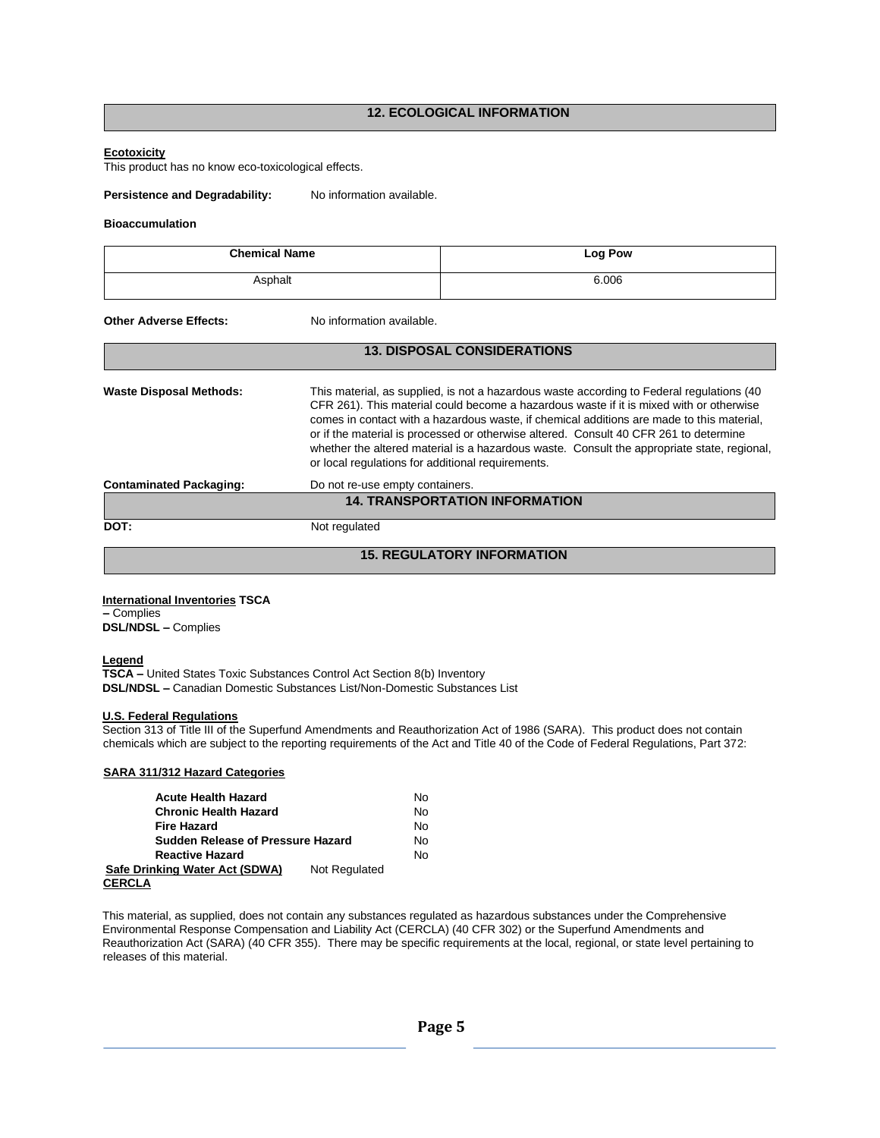# **12. ECOLOGICAL INFORMATION**

# **Ecotoxicity**

This product has no know eco-toxicological effects.

Persistence and Degradability: No information available.

#### **Bioaccumulation**

| <b>Chemical Name</b><br>Asphalt |                                                                                                                                                                                                                                                                                                                                                                                                                                                                                                                                | <b>Log Pow</b>                        |  |
|---------------------------------|--------------------------------------------------------------------------------------------------------------------------------------------------------------------------------------------------------------------------------------------------------------------------------------------------------------------------------------------------------------------------------------------------------------------------------------------------------------------------------------------------------------------------------|---------------------------------------|--|
|                                 |                                                                                                                                                                                                                                                                                                                                                                                                                                                                                                                                | 6.006                                 |  |
| <b>Other Adverse Effects:</b>   | No information available.                                                                                                                                                                                                                                                                                                                                                                                                                                                                                                      |                                       |  |
|                                 |                                                                                                                                                                                                                                                                                                                                                                                                                                                                                                                                | <b>13. DISPOSAL CONSIDERATIONS</b>    |  |
| <b>Waste Disposal Methods:</b>  | This material, as supplied, is not a hazardous waste according to Federal regulations (40<br>CFR 261). This material could become a hazardous waste if it is mixed with or otherwise<br>comes in contact with a hazardous waste, if chemical additions are made to this material,<br>or if the material is processed or otherwise altered. Consult 40 CFR 261 to determine<br>whether the altered material is a hazardous waste. Consult the appropriate state, regional,<br>or local regulations for additional requirements. |                                       |  |
| <b>Contaminated Packaging:</b>  | Do not re-use empty containers.                                                                                                                                                                                                                                                                                                                                                                                                                                                                                                | <b>14. TRANSPORTATION INFORMATION</b> |  |
| DOT:                            | Not regulated                                                                                                                                                                                                                                                                                                                                                                                                                                                                                                                  |                                       |  |

# **15. REGULATORY INFORMATION**

# **International Inventories TSCA**

**–** Complies **DSL/NDSL –** Complies

#### **Legend**

**TSCA –** United States Toxic Substances Control Act Section 8(b) Inventory **DSL/NDSL –** Canadian Domestic Substances List/Non-Domestic Substances List

#### **U.S. Federal Regulations**

Section 313 of Title III of the Superfund Amendments and Reauthorization Act of 1986 (SARA). This product does not contain chemicals which are subject to the reporting requirements of the Act and Title 40 of the Code of Federal Regulations, Part 372:

#### **SARA 311/312 Hazard Categories**

| <b>Acute Health Hazard</b>        |               | N٥ |
|-----------------------------------|---------------|----|
| <b>Chronic Health Hazard</b>      |               | No |
| <b>Fire Hazard</b>                |               | N٥ |
| Sudden Release of Pressure Hazard |               | N٥ |
| <b>Reactive Hazard</b>            |               | Nο |
| Safe Drinking Water Act (SDWA)    | Not Regulated |    |
| <b>CERCLA</b>                     |               |    |

This material, as supplied, does not contain any substances regulated as hazardous substances under the Comprehensive Environmental Response Compensation and Liability Act (CERCLA) (40 CFR 302) or the Superfund Amendments and Reauthorization Act (SARA) (40 CFR 355). There may be specific requirements at the local, regional, or state level pertaining to releases of this material.